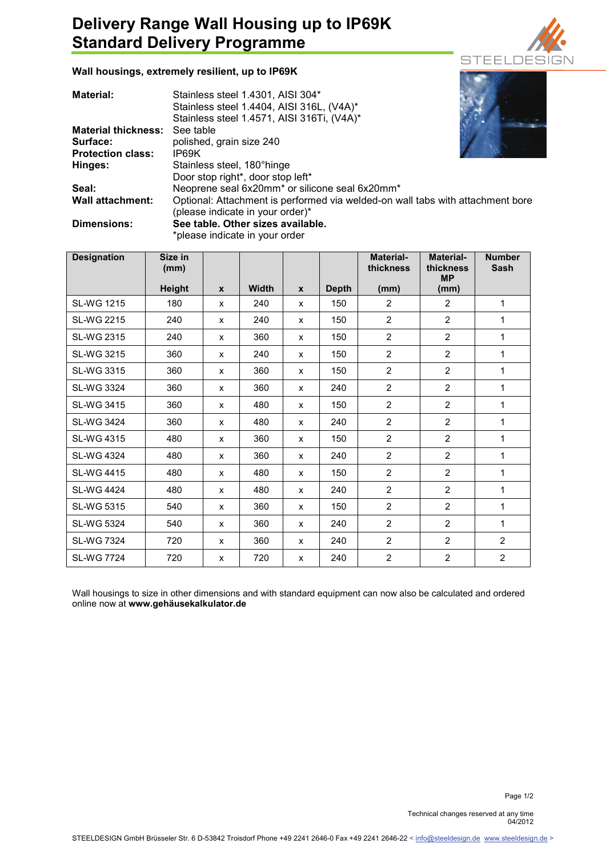## **Delivery Range Wall Housing up to IP69K Standard Delivery Programme**



**Wall housings, extremely resilient, up to IP69K** 

| Material:                  | Stainless steel 1.4301, AISI 304*                                              |  |  |  |  |
|----------------------------|--------------------------------------------------------------------------------|--|--|--|--|
|                            | Stainless steel 1.4404, AISI 316L, (V4A)*                                      |  |  |  |  |
|                            | Stainless steel 1.4571, AISI 316Ti, (V4A)*                                     |  |  |  |  |
| <b>Material thickness:</b> | See table                                                                      |  |  |  |  |
| Surface:                   | polished, grain size 240                                                       |  |  |  |  |
| <b>Protection class:</b>   | IP69K                                                                          |  |  |  |  |
| Hinges:                    | Stainless steel, 180°hinge                                                     |  |  |  |  |
|                            | Door stop right*, door stop left*                                              |  |  |  |  |
| Seal:                      | Neoprene seal 6x20mm* or silicone seal 6x20mm*                                 |  |  |  |  |
| <b>Wall attachment:</b>    | Optional: Attachment is performed via welded-on wall tabs with attachment bore |  |  |  |  |
|                            | (please indicate in your order)*                                               |  |  |  |  |
| Dimensions:                | See table. Other sizes available.                                              |  |  |  |  |
|                            | the local control of the color than the control of a state of                  |  |  |  |  |

\*please indicate in your order

| <b>Designation</b> | Size in<br>(mm) |              |              |              |              | <b>Material-</b><br>thickness | <b>Material-</b><br>thickness<br><b>MP</b> | <b>Number</b><br><b>Sash</b> |
|--------------------|-----------------|--------------|--------------|--------------|--------------|-------------------------------|--------------------------------------------|------------------------------|
|                    | <b>Height</b>   | $\mathbf{x}$ | <b>Width</b> | $\mathbf{x}$ | <b>Depth</b> | (mm)                          | (mm)                                       |                              |
| <b>SL-WG 1215</b>  | 180             | $\mathsf{x}$ | 240          | X            | 150          | 2                             | $\overline{2}$                             | 1                            |
| <b>SL-WG 2215</b>  | 240             | $\mathsf{x}$ | 240          | X            | 150          | $\overline{2}$                | $\overline{2}$                             | 1                            |
| <b>SL-WG 2315</b>  | 240             | X            | 360          | X            | 150          | $\overline{2}$                | $\overline{2}$                             | 1                            |
| SL-WG 3215         | 360             | X            | 240          | X            | 150          | $\overline{2}$                | $\overline{2}$                             | 1                            |
| <b>SL-WG 3315</b>  | 360             | $\mathsf{x}$ | 360          | X            | 150          | 2                             | $\overline{2}$                             | 1                            |
| <b>SL-WG 3324</b>  | 360             | $\mathsf{x}$ | 360          | X            | 240          | $\overline{2}$                | $\overline{2}$                             | 1                            |
| <b>SL-WG 3415</b>  | 360             | $\mathsf{x}$ | 480          | X            | 150          | 2                             | $\overline{2}$                             | 1                            |
| <b>SL-WG 3424</b>  | 360             | $\mathsf{x}$ | 480          | X            | 240          | $\overline{2}$                | $\overline{2}$                             | 1                            |
| <b>SL-WG 4315</b>  | 480             | $\mathsf{x}$ | 360          | X            | 150          | $\overline{2}$                | $\overline{2}$                             | 1                            |
| <b>SL-WG 4324</b>  | 480             | $\mathsf{x}$ | 360          | X            | 240          | $\overline{2}$                | $\overline{2}$                             | 1                            |
| <b>SL-WG 4415</b>  | 480             | X            | 480          | X            | 150          | $\overline{2}$                | $\overline{2}$                             | 1                            |
| <b>SL-WG 4424</b>  | 480             | X            | 480          | X            | 240          | 2                             | $\overline{2}$                             | 1                            |
| <b>SL-WG 5315</b>  | 540             | $\mathsf{x}$ | 360          | X            | 150          | 2                             | $\overline{2}$                             | 1                            |
| <b>SL-WG 5324</b>  | 540             | $\mathsf{x}$ | 360          | X            | 240          | $\overline{2}$                | $\overline{2}$                             | 1                            |
| <b>SL-WG 7324</b>  | 720             | $\mathsf{x}$ | 360          | $\mathsf{x}$ | 240          | 2                             | $\overline{2}$                             | 2                            |
| <b>SL-WG 7724</b>  | 720             | X            | 720          | X            | 240          | $\overline{2}$                | $\overline{2}$                             | $\overline{2}$               |

Wall housings to size in other dimensions and with standard equipment can now also be calculated and ordered online now at **www.gehäusekalkulator.de**

Technical changes reserved at any time 04/2012